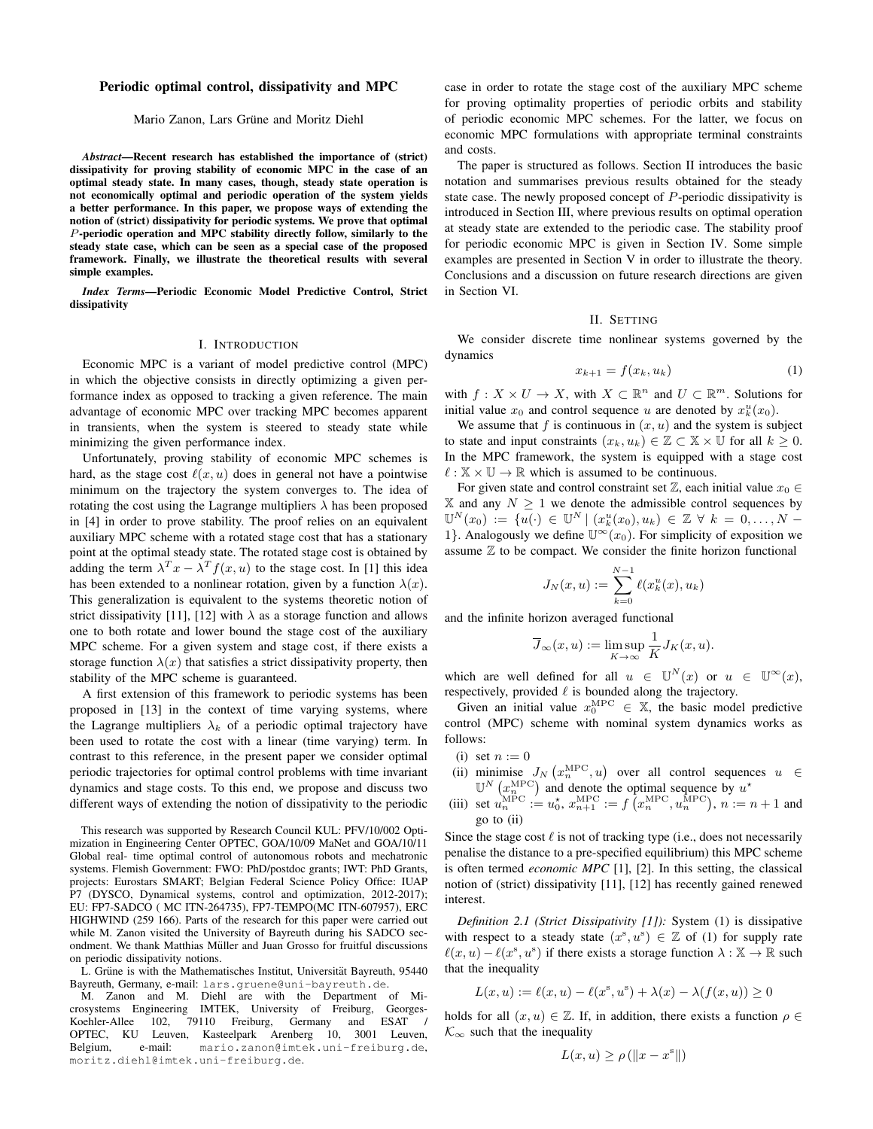## Periodic optimal control, dissipativity and MPC

#### Mario Zanon, Lars Grüne and Moritz Diehl

*Abstract*—Recent research has established the importance of (strict) dissipativity for proving stability of economic MPC in the case of an optimal steady state. In many cases, though, steady state operation is not economically optimal and periodic operation of the system yields a better performance. In this paper, we propose ways of extending the notion of (strict) dissipativity for periodic systems. We prove that optimal P-periodic operation and MPC stability directly follow, similarly to the steady state case, which can be seen as a special case of the proposed framework. Finally, we illustrate the theoretical results with several simple examples.

*Index Terms*—Periodic Economic Model Predictive Control, Strict dissipativity

#### I. INTRODUCTION

Economic MPC is a variant of model predictive control (MPC) in which the objective consists in directly optimizing a given performance index as opposed to tracking a given reference. The main advantage of economic MPC over tracking MPC becomes apparent in transients, when the system is steered to steady state while minimizing the given performance index.

Unfortunately, proving stability of economic MPC schemes is hard, as the stage cost  $\ell(x, u)$  does in general not have a pointwise minimum on the trajectory the system converges to. The idea of rotating the cost using the Lagrange multipliers  $\lambda$  has been proposed in [4] in order to prove stability. The proof relies on an equivalent auxiliary MPC scheme with a rotated stage cost that has a stationary point at the optimal steady state. The rotated stage cost is obtained by adding the term  $\lambda^T x - \lambda^T f(x, u)$  to the stage cost. In [1] this idea has been extended to a nonlinear rotation, given by a function  $\lambda(x)$ . This generalization is equivalent to the systems theoretic notion of strict dissipativity [11], [12] with  $\lambda$  as a storage function and allows one to both rotate and lower bound the stage cost of the auxiliary MPC scheme. For a given system and stage cost, if there exists a storage function  $\lambda(x)$  that satisfies a strict dissipativity property, then stability of the MPC scheme is guaranteed.

A first extension of this framework to periodic systems has been proposed in [13] in the context of time varying systems, where the Lagrange multipliers  $\lambda_k$  of a periodic optimal trajectory have been used to rotate the cost with a linear (time varying) term. In contrast to this reference, in the present paper we consider optimal periodic trajectories for optimal control problems with time invariant dynamics and stage costs. To this end, we propose and discuss two different ways of extending the notion of dissipativity to the periodic

This research was supported by Research Council KUL: PFV/10/002 Optimization in Engineering Center OPTEC, GOA/10/09 MaNet and GOA/10/11 Global real- time optimal control of autonomous robots and mechatronic systems. Flemish Government: FWO: PhD/postdoc grants; IWT: PhD Grants, projects: Eurostars SMART; Belgian Federal Science Policy Office: IUAP P7 (DYSCO, Dynamical systems, control and optimization, 2012-2017); EU: FP7-SADCO ( MC ITN-264735), FP7-TEMPO(MC ITN-607957), ERC HIGHWIND (259 166). Parts of the research for this paper were carried out while M. Zanon visited the University of Bayreuth during his SADCO secondment. We thank Matthias Müller and Juan Grosso for fruitful discussions on periodic dissipativity notions.

L. Grüne is with the Mathematisches Institut, Universität Bayreuth, 95440 Bayreuth, Germany, e-mail: lars.gruene@uni-bayreuth.de.

M. Zanon and M. Diehl are with the Department of Microsystems Engineering IMTEK, University of Freiburg, Georges-Koehler-Allee 102, 79110 Freiburg, Germany and ESAT / OPTEC, KU Leuven, Kasteelpark Arenberg 10, 3001 Leuven, Belgium, e-mail: mario.zanon@imtek.uni-freiburg.de, moritz.diehl@imtek.uni-freiburg.de.

case in order to rotate the stage cost of the auxiliary MPC scheme for proving optimality properties of periodic orbits and stability of periodic economic MPC schemes. For the latter, we focus on economic MPC formulations with appropriate terminal constraints and costs.

The paper is structured as follows. Section II introduces the basic notation and summarises previous results obtained for the steady state case. The newly proposed concept of  $P$ -periodic dissipativity is introduced in Section III, where previous results on optimal operation at steady state are extended to the periodic case. The stability proof for periodic economic MPC is given in Section IV. Some simple examples are presented in Section V in order to illustrate the theory. Conclusions and a discussion on future research directions are given in Section VI.

### II. SETTING

We consider discrete time nonlinear systems governed by the dynamics

$$
x_{k+1} = f(x_k, u_k) \tag{1}
$$

with  $f: X \times U \to X$ , with  $X \subset \mathbb{R}^n$  and  $U \subset \mathbb{R}^m$ . Solutions for initial value  $x_0$  and control sequence u are denoted by  $x_k^u(x_0)$ .

We assume that f is continuous in  $(x, u)$  and the system is subject to state and input constraints  $(x_k, u_k) \in \mathbb{Z} \subset \mathbb{X} \times \mathbb{U}$  for all  $k \geq 0$ . In the MPC framework, the system is equipped with a stage cost  $\ell : \mathbb{X} \times \mathbb{U} \rightarrow \mathbb{R}$  which is assumed to be continuous.

For given state and control constraint set  $\mathbb{Z}$ , each initial value  $x_0 \in \mathbb{Z}$  $X$  and any  $N > 1$  we denote the admissible control sequences by  $\mathbb{U}^N(x_0) := \{u(\cdot) \in \mathbb{U}^N \mid (x_k^u(x_0), u_k) \in \mathbb{Z} \ \forall \ k = 0, \ldots, N - 1 \}$ 1}. Analogously we define  $\mathbb{U}^{\infty}(x_0)$ . For simplicity of exposition we assume  $Z$  to be compact. We consider the finite horizon functional

$$
J_N(x, u) := \sum_{k=0}^{N-1} \ell(x_k^u(x), u_k)
$$

and the infinite horizon averaged functional

$$
\overline{J}_{\infty}(x, u) := \limsup_{K \to \infty} \frac{1}{K} J_K(x, u).
$$

which are well defined for all  $u \in \mathbb{U}^N(x)$  or  $u \in \mathbb{U}^{\infty}(x)$ , respectively, provided  $\ell$  is bounded along the trajectory.

Given an initial value  $x_0^{\text{MPC}} \in \mathbb{X}$ , the basic model predictive control (MPC) scheme with nominal system dynamics works as follows:

- (i) set  $n := 0$
- (ii) minimise  $J_N(x_n^{\text{MPC}}, u)$  over all control sequences  $u \in$  $\mathbb{U}^{N}\left(x_{n}^{\text{MPC}}\right)$  and denote the optimal sequence by  $u^{\star}$
- (iii) set  $u_n^{\text{MPC}} := u_0^{\star}$ ,  $x_{n+1}^{\text{MPC}} := f(x_n^{\text{MPC}}, u_n^{\text{MPC}})$ ,  $n := n+1$  and go to (ii)

Since the stage cost  $\ell$  is not of tracking type (i.e., does not necessarily penalise the distance to a pre-specified equilibrium) this MPC scheme is often termed *economic MPC* [1], [2]. In this setting, the classical notion of (strict) dissipativity [11], [12] has recently gained renewed interest.

*Definition 2.1 (Strict Dissipativity [1]):* System (1) is dissipative with respect to a steady state  $(x^s, u^s) \in \mathbb{Z}$  of (1) for supply rate  $\ell(x, u) - \ell(x^s, u^s)$  if there exists a storage function  $\lambda : \mathbb{X} \to \mathbb{R}$  such that the inequality

$$
L(x, u) := \ell(x, u) - \ell(x^s, u^s) + \lambda(x) - \lambda(f(x, u)) \ge 0
$$

holds for all  $(x, u) \in \mathbb{Z}$ . If, in addition, there exists a function  $\rho \in$  $\mathcal{K}_{\infty}$  such that the inequality

$$
L(x, u) \ge \rho \left( \|x - x^{\mathbf{s}}\| \right)
$$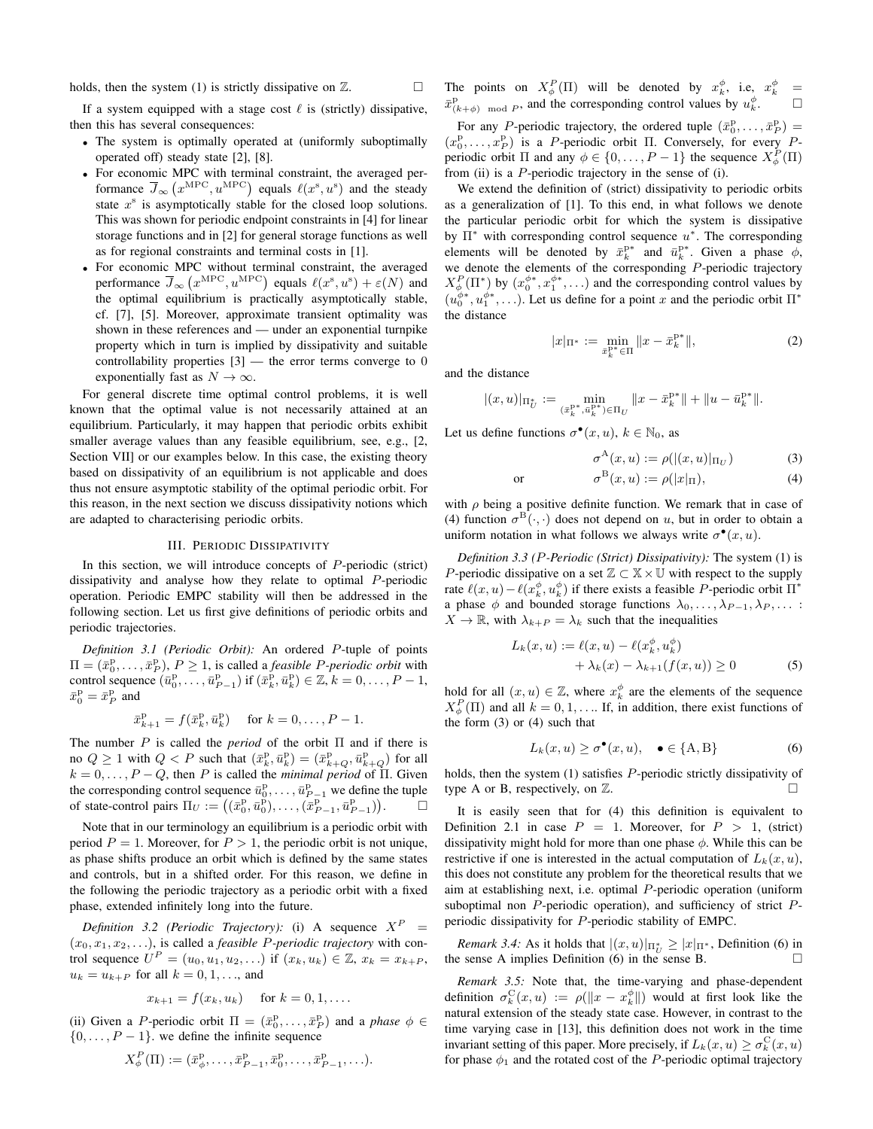holds, then the system (1) is strictly dissipative on  $\mathbb{Z}$ .

If a system equipped with a stage cost  $\ell$  is (strictly) dissipative, then this has several consequences:

- The system is optimally operated at (uniformly suboptimally operated off) steady state [2], [8].
- For economic MPC with terminal constraint, the averaged performance  $\overline{J}_{\infty}$   $(x^{\text{MPC}}, u^{\text{MPC}})$  equals  $\ell(x^{\text{s}}, u^{\text{s}})$  and the steady state  $x^s$  is asymptotically stable for the closed loop solutions. This was shown for periodic endpoint constraints in [4] for linear storage functions and in [2] for general storage functions as well as for regional constraints and terminal costs in [1].
- For economic MPC without terminal constraint, the averaged performance  $\overline{J}_{\infty}$   $(x^{\text{MPC}}, u^{\text{MPC}})$  equals  $\ell(x^{\text{s}}, u^{\text{s}}) + \varepsilon(N)$  and the optimal equilibrium is practically asymptotically stable, cf. [7], [5]. Moreover, approximate transient optimality was shown in these references and — under an exponential turnpike property which in turn is implied by dissipativity and suitable controllability properties [3] — the error terms converge to 0 exponentially fast as  $N \to \infty$ .

For general discrete time optimal control problems, it is well known that the optimal value is not necessarily attained at an equilibrium. Particularly, it may happen that periodic orbits exhibit smaller average values than any feasible equilibrium, see, e.g., [2, Section VII] or our examples below. In this case, the existing theory based on dissipativity of an equilibrium is not applicable and does thus not ensure asymptotic stability of the optimal periodic orbit. For this reason, in the next section we discuss dissipativity notions which are adapted to characterising periodic orbits.

### III. PERIODIC DISSIPATIVITY

In this section, we will introduce concepts of  $P$ -periodic (strict) dissipativity and analyse how they relate to optimal P-periodic operation. Periodic EMPC stability will then be addressed in the following section. Let us first give definitions of periodic orbits and periodic trajectories.

*Definition 3.1 (Periodic Orbit):* An ordered P-tuple of points  $\Pi = (\bar{x}_0^{\text{p}}, \dots, \bar{x}_P^{\text{p}}), P \ge 1$ , is called a *feasible P-periodic orbit* with control sequence  $(\bar{u}_0^{\mathrm{p}}, \ldots, \bar{u}_{P-1}^{\mathrm{p}})$  if  $(\bar{x}_k^{\mathrm{p}}, \bar{u}_k^{\mathrm{p}}) \in \mathbb{Z}$ ,  $k = 0, \ldots, P-1$ ,  $\bar{x}_0^{\mathrm{p}} = \bar{x}_P^{\mathrm{p}}$  and

$$
\bar{x}_{k+1}^{\mathrm{p}} = f(\bar{x}_k^{\mathrm{p}}, \bar{u}_k^{\mathrm{p}})
$$
 for  $k = 0, ..., P - 1$ .

The number  $P$  is called the *period* of the orbit  $\Pi$  and if there is no  $Q \ge 1$  with  $Q < P$  such that  $(\bar{x}_k^{\text{p}}, \bar{u}_k^{\text{p}}) = (\bar{x}_{k+Q}^{\text{p}}, \bar{u}_{k+Q}^{\text{p}})$  for all  $k = 0, \ldots, P - Q$ , then P is called the *minimal period* of  $\overline{\Pi}$ . Given the corresponding control sequence  $\bar{u}_0^{\mathrm{p}}, \ldots, \bar{u}_{P-1}^{\mathrm{p}}$  we define the tuple of state-control pairs  $\Pi_U := ((\bar{x}_0^p, \bar{u}_0^p), \dots, (\bar{x}_{P-1}^p, \bar{u}_{P-1}^p))$ . — П

Note that in our terminology an equilibrium is a periodic orbit with period  $P = 1$ . Moreover, for  $P > 1$ , the periodic orbit is not unique, as phase shifts produce an orbit which is defined by the same states and controls, but in a shifted order. For this reason, we define in the following the periodic trajectory as a periodic orbit with a fixed phase, extended infinitely long into the future.

*Definition 3.2 (Periodic Trajectory):* (i) A sequence  $X^P$  =  $(x_0, x_1, x_2, \ldots)$ , is called a *feasible P-periodic trajectory* with control sequence  $U^P = (u_0, u_1, u_2, \ldots)$  if  $(x_k, u_k) \in \mathbb{Z}$ ,  $x_k = x_{k+P}$ ,  $u_k = u_{k+P}$  for all  $k = 0, 1, \ldots$ , and

$$
x_{k+1} = f(x_k, u_k) \quad \text{ for } k = 0, 1, \dots
$$

(ii) Given a P-periodic orbit  $\Pi = (\bar{x}_0^p, \dots, \bar{x}_P^p)$  and a *phase*  $\phi \in$  $\{0, \ldots, P-1\}$ . we define the infinite sequence

$$
X^P_\phi(\Pi) := (\bar{x}^{\mathrm{p}}_\phi, \dots, \bar{x}^{\mathrm{p}}_{P-1}, \bar{x}^{\mathrm{p}}_0, \dots, \bar{x}^{\mathrm{p}}_{P-1}, \dots).
$$

The points on  $X^P_{\phi}(\Pi)$  will be denoted by  $x^{\phi}_k$ , i.e.,  $x^{\phi}_k$  =  $\bar{x}^{\text{p}}_{(k+\phi)}$  mod *p*, and the corresponding control values by  $u^{\phi}_k$  $\Box$ 

For any P-periodic trajectory, the ordered tuple  $(\bar{x}_0^{\mathrm{p}}, \ldots, \bar{x}_p^{\mathrm{p}}) =$  $(x_0^p, \ldots, x_P^p)$  is a P-periodic orbit Π. Conversely, for every Pperiodic orbit  $\Pi$  and any  $\phi \in \{0, \ldots, P-1\}$  the sequence  $X_{\phi}^P(\Pi)$ from (ii) is a  $P$ -periodic trajectory in the sense of (i).

We extend the definition of (strict) dissipativity to periodic orbits as a generalization of [1]. To this end, in what follows we denote the particular periodic orbit for which the system is dissipative by  $\Pi^*$  with corresponding control sequence  $u^*$ . The corresponding elements will be denoted by  $\bar{x}_k^{p*}$  and  $\bar{u}_k^{p*}$ . Given a phase  $\phi$ , we denote the elements of the corresponding P-periodic trajectory  $X_{\phi}^{P}(\Pi^{*})$  by  $(x_0^{\phi*}, x_1^{\phi*}, \ldots)$  and the corresponding control values by  $(u_0^{\phi*}, u_1^{\phi*}, \ldots)$ . Let us define for a point x and the periodic orbit  $\Pi^*$ the distance

$$
|x|_{\Pi^*} := \min_{\bar{x}_k^{\mathbf{p}^*} \in \Pi} \|x - \bar{x}_k^{\mathbf{p}^*}\|,\tag{2}
$$

and the distance

$$
|(x,u)|_{\Pi^*_U}:=\min_{(\bar{x}_k^{\mathbf{p}*},\bar{u}_k^{\mathbf{p}*})\in \Pi_U} \|x-\bar{x}_k^{\mathbf{p}*}\|+\|u-\bar{u}_k^{\mathbf{p}*}\|.
$$

Let us define functions  $\sigma^{\bullet}(x, u)$ ,  $k \in \mathbb{N}_0$ , as

$$
\sigma^{\mathcal{A}}(x, u) := \rho(|(x, u)|_{\Pi_U}) \tag{3}
$$

$$
\sigma^{\mathcal{B}}(x, u) := \rho(|x|_{\Pi}),\tag{4}
$$

with  $\rho$  being a positive definite function. We remark that in case of (4) function  $\sigma^{B}(\cdot,\cdot)$  does not depend on u, but in order to obtain a uniform notation in what follows we always write  $\sigma^{\bullet}(x, u)$ .

*Definition 3.3 (*P*-Periodic (Strict) Dissipativity):* The system (1) is P-periodic dissipative on a set  $\mathbb{Z} \subset \mathbb{X} \times \mathbb{U}$  with respect to the supply rate  $\ell(x, u) - \ell(x_k^{\phi}, u_k^{\phi})$  if there exists a feasible P-periodic orbit  $\Pi^*$ a phase  $\phi$  and bounded storage functions  $\lambda_0, \ldots, \lambda_{P-1}, \lambda_P, \ldots$  $X \to \mathbb{R}$ , with  $\lambda_{k+p} = \lambda_k$  such that the inequalities

$$
L_k(x, u) := \ell(x, u) - \ell(x_k^{\phi}, u_k^{\phi}) + \lambda_k(x) - \lambda_{k+1}(f(x, u)) \ge 0
$$
 (5)

hold for all  $(x, u) \in \mathbb{Z}$ , where  $x_k^{\phi}$  are the elements of the sequence  $X_{\phi}^{P}(\Pi)$  and all  $k = 0, 1, \dots$  If, in addition, there exist functions of the form  $(3)$  or  $(4)$  such that

$$
L_k(x, u) \ge \sigma^{\bullet}(x, u), \quad \bullet \in \{A, B\} \tag{6}
$$

holds, then the system (1) satisfies P-periodic strictly dissipativity of type A or B, respectively, on  $\mathbb{Z}$ .

It is easily seen that for (4) this definition is equivalent to Definition 2.1 in case  $P = 1$ . Moreover, for  $P > 1$ , (strict) dissipativity might hold for more than one phase  $\phi$ . While this can be restrictive if one is interested in the actual computation of  $L_k(x, u)$ , this does not constitute any problem for the theoretical results that we aim at establishing next, i.e. optimal P-periodic operation (uniform suboptimal non  $P$ -periodic operation), and sufficiency of strict  $P$ periodic dissipativity for P-periodic stability of EMPC.

*Remark 3.4:* As it holds that  $|(x, u)|_{\Pi_U^*} \geq |x|_{\Pi^*}$ , Definition (6) in the sense A implies Definition (6) in the sense B.  $\Box$ 

*Remark 3.5:* Note that, the time-varying and phase-dependent definition  $\sigma_k^C(x, u) := \rho(||x - x_k^{\phi}||)$  would at first look like the natural extension of the steady state case. However, in contrast to the time varying case in [13], this definition does not work in the time invariant setting of this paper. More precisely, if  $L_k(x, u) \ge \sigma_k^C(x, u)$ for phase  $\phi_1$  and the rotated cost of the P-periodic optimal trajectory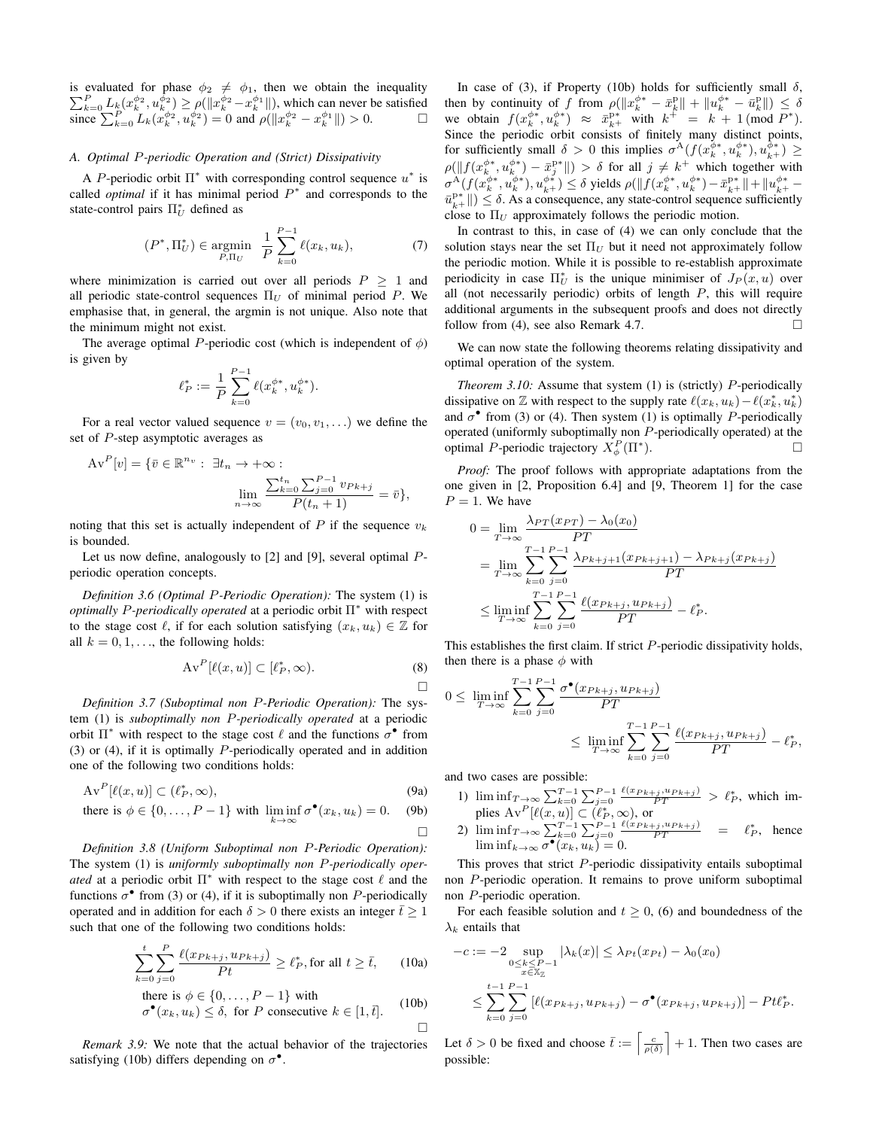is evaluated for phase  $\phi_2 \neq \phi_1$ , then we obtain the inequality  $\sum_{k=0}^{P} L_k(x_k^{\phi_2}, u_k^{\bar{\phi}_2}) \ge \rho(\Vert x_k^{\phi_2} - x_k^{\phi_1} \Vert)$ , which can never be satisfied since  $\sum_{k=0}^{P} L_k(x_k^{\phi_2}, u_k^{\phi_2}) = 0$  and  $\rho(\|x_k^{\phi_2} - x_k^{\phi_1}\|) > 0.$ 

### *A. Optimal* P*-periodic Operation and (Strict) Dissipativity*

A P-periodic orbit  $\Pi^*$  with corresponding control sequence  $u^*$  is called *optimal* if it has minimal period  $P^*$  and corresponds to the state-control pairs  $\Pi_U^*$  defined as

$$
(P^*, \Pi_U^*) \in \underset{P, \Pi_U}{\text{argmin}} \ \ \frac{1}{P} \sum_{k=0}^{P-1} \ell(x_k, u_k), \tag{7}
$$

where minimization is carried out over all periods  $P \geq 1$  and all periodic state-control sequences  $\Pi_U$  of minimal period P. We emphasise that, in general, the argmin is not unique. Also note that the minimum might not exist.

The average optimal P-periodic cost (which is independent of  $\phi$ ) is given by

$$
\ell_P^* := \frac{1}{P} \sum_{k=0}^{P-1} \ell(x_k^{\phi*}, u_k^{\phi*}).
$$

For a real vector valued sequence  $v = (v_0, v_1, \ldots)$  we define the set of P-step asymptotic averages as

$$
\begin{aligned} \mathbf{A}\mathbf{v}^P[v] &= \{\bar{v} \in \mathbb{R}^{n_v} : \ \exists t_n \to +\infty : \\ &\lim_{n \to \infty} \frac{\sum_{k=0}^{t_n} \sum_{j=0}^{P-1} v_{Pk+j}}{P(t_n+1)} = \bar{v}\}, \end{aligned}
$$

noting that this set is actually independent of  $P$  if the sequence  $v_k$ is bounded.

Let us now define, analogously to [2] and [9], several optimal Pperiodic operation concepts.

*Definition 3.6 (Optimal* P*-Periodic Operation):* The system (1) is *optimally* P*-periodically operated* at a periodic orbit Π <sup>∗</sup> with respect to the stage cost  $\ell$ , if for each solution satisfying  $(x_k, u_k) \in \mathbb{Z}$  for all  $k = 0, 1, \ldots$ , the following holds:

$$
\operatorname{Av}^P[\ell(x,u)] \subset [\ell_P^*, \infty). \tag{8}
$$

П

 $\Box$ 

*Definition 3.7 (Suboptimal non* P*-Periodic Operation):* The system (1) is *suboptimally non* P*-periodically operated* at a periodic orbit  $\Pi^*$  with respect to the stage cost  $\ell$  and the functions  $\sigma^{\bullet}$  from (3) or (4), if it is optimally P-periodically operated and in addition one of the following two conditions holds:

$$
\operatorname{Av}^P[\ell(x,u)] \subset (\ell_P^*, \infty),\tag{9a}
$$

there is 
$$
\phi \in \{0, ..., P-1\}
$$
 with  $\liminf_{k \to \infty} \sigma^{\bullet}(x_k, u_k) = 0.$  (9b)

*Definition 3.8 (Uniform Suboptimal non* P*-Periodic Operation):* The system (1) is *uniformly suboptimally non* P*-periodically operated* at a periodic orbit  $\Pi^*$  with respect to the stage cost  $\ell$  and the functions  $\sigma^{\bullet}$  from (3) or (4), if it is suboptimally non *P*-periodically operated and in addition for each  $\delta > 0$  there exists an integer  $\bar{t} \geq 1$ such that one of the following two conditions holds:

$$
\sum_{k=0}^{t} \sum_{j=0}^{P} \frac{\ell(x_{Pk+j}, u_{Pk+j})}{Pt} \ge \ell_P^*,
$$
for all  $t \ge \bar{t}$ , (10a)

there is 
$$
\phi \in \{0, ..., P - 1\}
$$
 with  
\n $\sigma^{\bullet}(x_k, u_k) \leq \delta$ , for *P* consecutive  $k \in [1, \bar{t}]$ . (10b)

*Remark 3.9:* We note that the actual behavior of the trajectories satisfying (10b) differs depending on  $\sigma^{\bullet}$ .

In case of (3), if Property (10b) holds for sufficiently small  $\delta$ , then by continuity of f from  $\rho(\Vert x_k^{\phi*} - \bar{x}_k^{\text{p}} \Vert + \Vert u_k^{\phi*} - \bar{u}_k^{\text{p}} \Vert) \le \delta$ we obtain  $f(x_k^{\phi*}, u_k^{\phi*}) \approx \bar{x}_{k+}^{p*}$  with  $k^+ = k + 1 \pmod{P^*}$ . Since the periodic orbit consists of finitely many distinct points, for sufficiently small  $\delta > 0$  this implies  $\sigma^A(f(x_k^{\phi*}, u_k^{\phi*}), u_{k+}^{\phi*}) \geq$  $\rho(\|f(x_k^{\phi*}, u_k^{\phi*}) - \bar{x}_j^{\mathrm{p}*}\|) > \delta$  for all  $j \neq k^+$  which together with  $\sigma^{\mathcal{A}}(f(x^{\phi*}_{k}, u^{\phi*}_{k}), u^{\phi*}_{k+}) \leq \delta$  yields  $\rho(\|f(x^{\phi*}_{k}, u^{\phi*}_{k}) - \bar{x}^{p*}_{k+}\| + \|u^{\phi*}_{k+} \overline{u}_{k+}^{p*}$   $\vert\vert$ )  $\leq \delta$ . As a consequence, any state-control sequence sufficiently close to  $\Pi_U$  approximately follows the periodic motion.

In contrast to this, in case of (4) we can only conclude that the solution stays near the set  $\Pi_U$  but it need not approximately follow the periodic motion. While it is possible to re-establish approximate periodicity in case  $\Pi_U^*$  is the unique minimiser of  $J_P(x, u)$  over all (not necessarily periodic) orbits of length  $P$ , this will require additional arguments in the subsequent proofs and does not directly follow from (4), see also Remark 4.7.

We can now state the following theorems relating dissipativity and optimal operation of the system.

*Theorem 3.10:* Assume that system (1) is (strictly) P-periodically dissipative on Z with respect to the supply rate  $\ell(x_k, u_k) - \ell(x_k^*, u_k^*)$ and  $\sigma^{\bullet}$  from (3) or (4). Then system (1) is optimally P-periodically operated (uniformly suboptimally non  $P$ -periodically operated) at the optimal *P*-periodic trajectory  $X_{\phi}^{P}(\Pi^{*})$  $\Box$ 

*Proof:* The proof follows with appropriate adaptations from the one given in [2, Proposition 6.4] and [9, Theorem 1] for the case  $P = 1$ . We have

$$
0 = \lim_{T \to \infty} \frac{\lambda_{PT}(x_{PT}) - \lambda_{0}(x_{0})}{PT}
$$
  
= 
$$
\lim_{T \to \infty} \sum_{k=0}^{T-1} \sum_{j=0}^{P-1} \frac{\lambda_{Pk+j+1}(x_{Pk+j+1}) - \lambda_{Pk+j}(x_{Pk+j})}{PT}
$$
  

$$
\leq \liminf_{T \to \infty} \sum_{k=0}^{T-1} \sum_{j=0}^{P-1} \frac{\ell(x_{Pk+j}, u_{Pk+j})}{PT} - \ell_{P}^{*}.
$$

This establishes the first claim. If strict P-periodic dissipativity holds, then there is a phase  $\phi$  with

$$
0 \le \liminf_{T \to \infty} \sum_{k=0}^{T-1} \sum_{j=0}^{P-1} \frac{\sigma^{\bullet}(x_{Pk+j}, u_{Pk+j})}{PT} \le \liminf_{T \to \infty} \sum_{k=0}^{T-1} \sum_{j=0}^{P-1} \frac{\ell(x_{Pk+j}, u_{Pk+j})}{PT} - \ell_P^*,
$$

and two cases are possible:

1)  $\liminf_{T \to \infty} \sum_{k=0}^{T-1} \sum_{j=0}^{P-1} \frac{\ell(x_{Pk+j}, u_{Pk+j})}{PT} > \ell_P^*$ , which implies  $Av^P[\ell(x, u)] \subset (\ell_P^*, \infty)$ , or

2) 
$$
\liminf_{T \to \infty} \sum_{k=0}^{T-1} \sum_{j=0}^{P-1} \frac{\ell(x_{Pk+j}, u_{Pk+j})}{PT} = \ell_P^*
$$
, hence  $\liminf_{k \to \infty} \sigma^{\bullet}(x_k, u_k) = 0$ .

This proves that strict P-periodic dissipativity entails suboptimal non P-periodic operation. It remains to prove uniform suboptimal non P-periodic operation.

For each feasible solution and  $t \geq 0$ , (6) and boundedness of the  $\lambda_k$  entails that

$$
-c := -2 \sup_{\substack{0 \le k \le P-1 \\ x \in \mathbb{X}_\mathbb{Z}}} |\lambda_k(x)| \le \lambda_{Pt}(x_{Pt}) - \lambda_0(x_0)
$$
  

$$
\le \sum_{k=0}^{t-1} \sum_{j=0}^{P-1} [\ell(x_{Pt+j}, u_{Pt+j}) - \sigma^\bullet(x_{Pt+j}, u_{Pt+j})] - Pt\ell_P^*.
$$

Let  $\delta > 0$  be fixed and choose  $\bar{t} := \left[ \frac{c}{\rho(\delta)} \right] + 1$ . Then two cases are possible: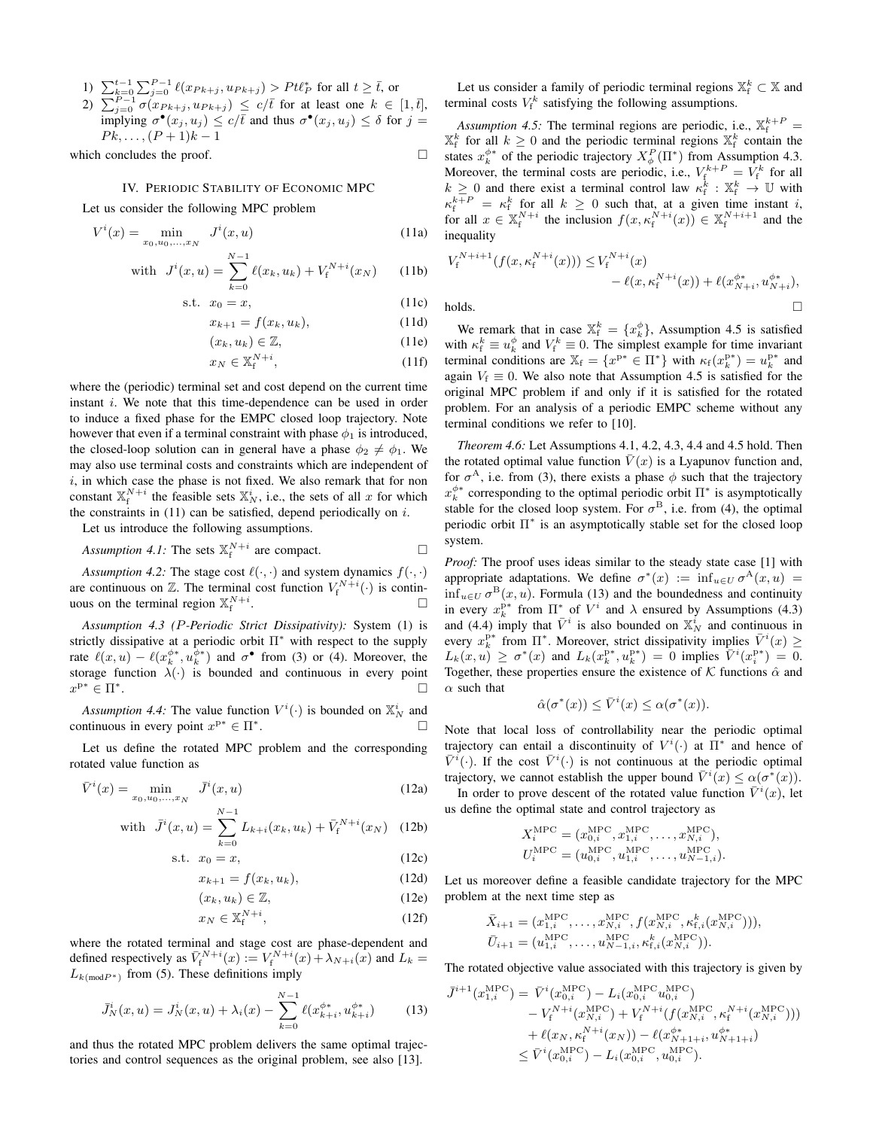- 1)  $\sum_{k=0}^{t-1} \sum_{j=0}^{P-1} \ell(x_{Pk+j}, u_{Pk+j}) > Pt\ell_P^*$  for all  $t \geq \bar{t}$ , or
- 2)  $\sum_{j=0}^{P-1} \sigma(x_{Pk+j}, u_{Pk+j}) \leq c/\overline{t}$  for at least one  $k \in [1, \overline{t}],$ implying  $\sigma^{\bullet}(x_j, u_j) \leq c/\overline{t}$  and thus  $\sigma^{\bullet}(x_j, u_j) \leq \delta$  for  $j =$  $Pk, \ldots, (P + 1)k - 1$

which concludes the proof.

IV. PERIODIC STABILITY OF ECONOMIC MPC

Let us consider the following MPC problem

$$
V^{i}(x) = \min_{x_0, u_0, \dots, x_N} J^{i}(x, u)
$$
 (11a)

with 
$$
J^i(x, u) = \sum_{k=0}^{N-1} \ell(x_k, u_k) + V_f^{N+i}(x_N)
$$
 (11b)

$$
s.t. \t x_0 = x,\t(11c)
$$

$$
x_{k+1} = f(x_k, u_k), \tag{11d}
$$

$$
(x_k, u_k) \in \mathbb{Z},\tag{11e}
$$

$$
x_N \in \mathbb{X}_\mathbf{f}^{N+i},\tag{11f}
$$

where the (periodic) terminal set and cost depend on the current time instant  $i$ . We note that this time-dependence can be used in order to induce a fixed phase for the EMPC closed loop trajectory. Note however that even if a terminal constraint with phase  $\phi_1$  is introduced, the closed-loop solution can in general have a phase  $\phi_2 \neq \phi_1$ . We may also use terminal costs and constraints which are independent of  $i$ , in which case the phase is not fixed. We also remark that for non constant  $\mathbb{X}_{f}^{N+i}$  the feasible sets  $\mathbb{X}_{N}^{i}$ , i.e., the sets of all x for which the constraints in  $(11)$  can be satisfied, depend periodically on i.

Let us introduce the following assumptions.

Assumption 4.1: The sets  $\mathbb{X}_{f}^{N+i}$  are compact.

*Assumption 4.2:* The stage cost  $\ell(\cdot, \cdot)$  and system dynamics  $f(\cdot, \cdot)$ are continuous on  $\mathbb{Z}$ . The terminal cost function  $V_f^{N+i}(\cdot)$  is continuous on the terminal region  $\mathbb{X}_{f}^{N+i}$ . В последните последните под извести в последните под извести в последните под извести в собстание и последни<br>В последните последните последните под извести в последните под извести в последните последните последните по<br>

*Assumption 4.3 (*P*-Periodic Strict Dissipativity):* System (1) is strictly dissipative at a periodic orbit  $\Pi^*$  with respect to the supply rate  $\ell(x, u) - \ell(x_k^{\phi*}, u_k^{\phi*})$  and  $\sigma^{\bullet}$  from (3) or (4). Moreover, the storage function  $\lambda(\cdot)$  is bounded and continuous in every point  $x^{p*} \in \Pi^*$ . В последните последните последните последните последните последните последните последните последните последн<br>В последните последните последните последните последните последните последните последните последните последнит

Assumption 4.4: The value function  $V^i(\cdot)$  is bounded on  $\mathbb{X}_N^i$  and continuous in every point  $x^{p*} \in \Pi^*$ . В последните последните и последните и последните и последните и последните и последните и последните и посл<br>В последните и последните и последните и последните и последните и последните и последните и последните и посл

Let us define the rotated MPC problem and the corresponding rotated value function as

$$
\bar{V}^{i}(x) = \min_{x_0, u_0, ..., x_N} \bar{J}^{i}(x, u)
$$
\n(12a)

with 
$$
\bar{J}^i(x, u) = \sum_{k=0}^{N-1} L_{k+i}(x_k, u_k) + \bar{V}_{f}^{N+i}(x_N)
$$
 (12b)

$$
s.t. \t x_0 = x,\t(12c)
$$

$$
x_{k+1} = f(x_k, u_k),
$$
 (12d)

$$
(x_k, u_k) \in \mathbb{Z},\tag{12e}
$$

$$
x_N \in \mathbb{X}_{\mathbf{f}}^{N+i},\tag{12f}
$$

where the rotated terminal and stage cost are phase-dependent and defined respectively as  $\bar{V}_{f}^{N+i}(x) := V_{f}^{N+i}(x) + \lambda_{N+i}(x)$  and  $L_k =$  $L_{k(\text{mod}P^*)}$  from (5). These definitions imply

$$
\bar{J}_N^i(x, u) = J_N^i(x, u) + \lambda_i(x) - \sum_{k=0}^{N-1} \ell(x_{k+i}^{\phi*}, u_{k+i}^{\phi*})
$$
(13)

and thus the rotated MPC problem delivers the same optimal trajectories and control sequences as the original problem, see also [13].

Let us consider a family of periodic terminal regions  $\mathbb{X}_{f}^{k} \subset \mathbb{X}$  and terminal costs  $V_f^k$  satisfying the following assumptions.

*Assumption 4.5:* The terminal regions are periodic, i.e.,  $\mathbb{X}_{f}^{k+P}$  =  $\mathbb{X}_{f}^{k}$  for all  $k \geq 0$  and the periodic terminal regions  $\mathbb{X}_{f}^{k}$  contain the  $\alpha_f$  for an  $\kappa \ge 0$  and the periodic terminal regions  $\alpha_f$  contain the states  $x_k^{\phi^*}$  of the periodic trajectory  $X_\phi^p(\Pi^*)$  from Assumption 4.3. Moreover, the terminal costs are periodic, i.e.,  $V_f^{k+P} = V_f^k$  for all  $k \geq 0$  and there exist a terminal control law  $\kappa_f^{\overline{k}} : \mathbb{X}_f^k \to \mathbb{U}$  with  $\kappa_f^{k+P} = \kappa_f^k$  for all  $k \geq 0$  such that, at a given time instant i, for all  $x \in \mathbb{X}_{f}^{N+i}$  the inclusion  $f(x, \kappa_f^{N+i}(x)) \in \mathbb{X}_{f}^{N+i+1}$  and the inequality

$$
V_f^{N+i+1}(f(x, \kappa_f^{N+i}(x))) \le V_f^{N+i}(x)
$$
  
- \ell(x, \kappa\_f^{N+i}(x)) + \ell(x\_{N+i}^{\phi\*}, u\_{N+i}^{\phi\*}),  
holds.

We remark that in case  $\mathbb{X}_{f}^{k} = \{x_{k}^{\phi}\}\$ , Assumption 4.5 is satisfied with  $\kappa_f^k \equiv u_k^{\phi}$  and  $V_f^k \equiv 0$ . The simplest example for time invariant terminal conditions are  $X_f = \{x^{p*} \in \Pi^*\}$  with  $\kappa_f(x_k^{p*}) = u_k^{p*}$  and again  $V_f \equiv 0$ . We also note that Assumption 4.5 is satisfied for the original MPC problem if and only if it is satisfied for the rotated problem. For an analysis of a periodic EMPC scheme without any terminal conditions we refer to [10].

*Theorem 4.6:* Let Assumptions 4.1, 4.2, 4.3, 4.4 and 4.5 hold. Then the rotated optimal value function  $\overline{V}(x)$  is a Lyapunov function and, for  $\sigma^{A}$ , i.e. from (3), there exists a phase  $\phi$  such that the trajectory  $x_k^{\phi^*}$  corresponding to the optimal periodic orbit  $\Pi^*$  is asymptotically stable for the closed loop system. For  $\sigma^{B}$ , i.e. from (4), the optimal periodic orbit  $\Pi^*$  is an asymptotically stable set for the closed loop system.

*Proof:* The proof uses ideas similar to the steady state case [1] with appropriate adaptations. We define  $\sigma^*(x) := \inf_{u \in U} \sigma^A(x, u) =$  $\inf_{u \in U} \sigma^{B}(x, u)$ . Formula (13) and the boundedness and continuity in every  $x_k^{\mathbf{p} *}$  from  $\Pi^*$  of  $V^i$  and  $\lambda$  ensured by Assumptions (4.3) and (4.4) imply that  $\bar{V}^i$  is also bounded on  $\mathbb{X}_N^i$  and continuous in every  $x_k^{p*}$  from  $\Pi^*$ . Moreover, strict dissipativity implies  $\overline{V}^i(x) \geq$  $L_k(x, u) \geq \sigma^*(x)$  and  $L_k(x_k^{p*}, u_k^{p*}) = 0$  implies  $\overline{V}^i(x_i^{p*}) = 0$ . Together, these properties ensure the existence of  $K$  functions  $\hat{\alpha}$  and  $\alpha$  such that

$$
\hat{\alpha}(\sigma^*(x)) \le \bar{V}^i(x) \le \alpha(\sigma^*(x)).
$$

Note that local loss of controllability near the periodic optimal trajectory can entail a discontinuity of  $V^i(\cdot)$  at  $\Pi^*$  and hence of  $\bar{V}^i(\cdot)$ . If the cost  $\bar{V}^i(\cdot)$  is not continuous at the periodic optimal trajectory, we cannot establish the upper bound  $\overline{V}^i(x) \leq \alpha(\sigma^*(x))$ .

In order to prove descent of the rotated value function  $\overline{V}^i(x)$ , let us define the optimal state and control trajectory as

$$
X_i^{\text{MPC}} = (x_{0,i}^{\text{MPC}}, x_{1,i}^{\text{MPC}}, \dots, x_{N,i}^{\text{MPC}}),
$$
  

$$
U_i^{\text{MPC}} = (u_{0,i}^{\text{MPC}}, u_{1,i}^{\text{MPC}}, \dots, u_{N-1,i}^{\text{MPC}}).
$$

Let us moreover define a feasible candidate trajectory for the MPC problem at the next time step as

$$
\bar{X}_{i+1} = (x_{1,i}^{\text{MPC}}, \dots, x_{N,i}^{\text{MPC}}, f(x_{N,i}^{\text{MPC}}, \kappa_{f,i}^k(x_{N,i}^{\text{MPC}}))),
$$
  

$$
\bar{U}_{i+1} = (u_{1,i}^{\text{MPC}}, \dots, u_{N-1,i}^{\text{MPC}}, \kappa_{f,i}^k(x_{N,i}^{\text{MPC}})).
$$

The rotated objective value associated with this trajectory is given by

$$
\bar{J}^{i+1}(x_{1,i}^{\text{MPC}}) = \bar{V}^{i}(x_{0,i}^{\text{MPC}}) - L_i(x_{0,i}^{\text{MPC}}u_{0,i}^{\text{MPC}}) \n- V_f^{N+i}(x_{N,i}^{\text{MPC}}) + V_f^{N+i}(f(x_{N,i}^{\text{MPC}}, \kappa_f^{N+i}(x_{N,i}^{\text{MPC}}))) \n+ \ell(x_N, \kappa_f^{N+i}(x_N)) - \ell(x_{N+1+i}^{\phi*}, u_{N+1+i}^{\phi*}) \n\leq \bar{V}^{i}(x_{0,i}^{\text{MPC}}) - L_i(x_{0,i}^{\text{MPC}}, u_{0,i}^{\text{MPC}}).
$$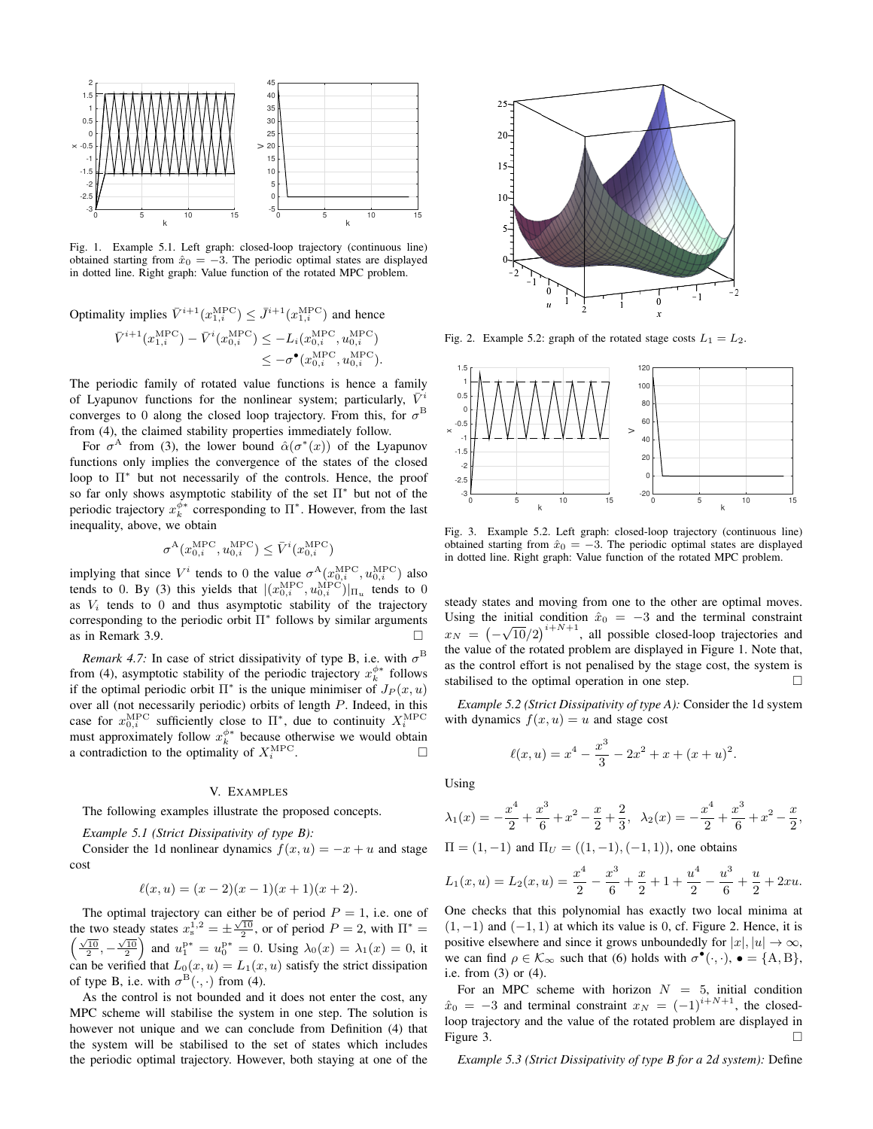

Fig. 1. Example 5.1. Left graph: closed-loop trajectory (continuous line) obtained starting from  $\hat{x}_0 = -3$ . The periodic optimal states are displayed in dotted line. Right graph: Value function of the rotated MPC problem.

Optimality implies  $\bar{V}^{i+1}(x_{1,i}^{\text{MPC}}) \leq \bar{J}^{i+1}(x_{1,i}^{\text{MPC}})$  and hence

$$
\overline{V}^{i+1}(x_{1,i}^{\text{MPC}}) - \overline{V}^{i}(x_{0,i}^{\text{MPC}}) \le -L_i(x_{0,i}^{\text{MPC}}, u_{0,i}^{\text{MPC}}) \le -\sigma^{\bullet}(x_{0,i}^{\text{MPC}}, u_{0,i}^{\text{MPC}}).
$$

The periodic family of rotated value functions is hence a family of Lyapunov functions for the nonlinear system; particularly,  $\bar{V}^{\circ}$ converges to 0 along the closed loop trajectory. From this, for  $\sigma^{\text{B}}$ from (4), the claimed stability properties immediately follow.

For  $\sigma^A$  from (3), the lower bound  $\hat{\alpha}(\sigma^*(x))$  of the Lyapunov functions only implies the convergence of the states of the closed loop to  $\Pi^*$  but not necessarily of the controls. Hence, the proof so far only shows asymptotic stability of the set  $\Pi^*$  but not of the periodic trajectory  $x_k^{\phi^*}$  corresponding to  $\Pi^*$ . However, from the last inequality, above, we obtain

$$
\sigma^{\mathcal{A}}(x_{0,i}^{\mathrm{MPC}},u_{0,i}^{\mathrm{MPC}}) \leq \bar{V}^{i}(x_{0,i}^{\mathrm{MPC}})
$$

implying that since  $V^i$  tends to 0 the value  $\sigma^{\text{A}}(x_{0,i}^{\text{MPC}}, u_{0,i}^{\text{MPC}})$  also tends to 0. By (3) this yields that  $|(x_{0,i}^{\text{MPC}}, u_{0,i}^{\text{MPC}})|_{\Pi_u}$  tends to 0 as  $V_i$  tends to 0 and thus asymptotic stability of the trajectory corresponding to the periodic orbit  $\Pi^*$  follows by similar arguments as in Remark 3.9.

*Remark 4.7:* In case of strict dissipativity of type B, i.e. with  $\sigma^B$ from (4), asymptotic stability of the periodic trajectory  $x_k^{\phi*}$  follows if the optimal periodic orbit  $\Pi^*$  is the unique minimiser of  $J_P(x, u)$ over all (not necessarily periodic) orbits of length P. Indeed, in this case for  $x_{0,i}^{\text{MPC}}$  sufficiently close to  $\Pi^*$ , due to continuity  $X_i^{\text{MPC}}$ must approximately follow  $x_k^{\phi^*}$  because otherwise we would obtain a contradiction to the optimality of  $X_i^{\text{MPC}}$ . — Процессиональные просто производительные производства и производства и производства и производства и произ<br>В собстановки производства и производства и производствовки производства и производства и производства и произ

## V. EXAMPLES

The following examples illustrate the proposed concepts.

# *Example 5.1 (Strict Dissipativity of type B):*

Consider the 1d nonlinear dynamics  $f(x, u) = -x + u$  and stage cost

$$
\ell(x, u) = (x - 2)(x - 1)(x + 1)(x + 2).
$$

The optimal trajectory can either be of period  $P = 1$ , i.e. one of the two steady states  $x_5^{1,2} = \pm \frac{\sqrt{10}}{2}$ , or of period  $P = 2$ , with  $\Pi^* = \sqrt{\sqrt{10}} - \sqrt{10}$  and  $y_5^{1,*} = y_5^{1,*} = 0$ . Using  $\lambda_0(x) = \lambda_1(x) = 0$  if  $\left(\frac{10}{2}, -\frac{\sqrt{10}}{2}\right)$  and  $u_1^{p*} = u_0^{p*} = 0$ . Using  $\lambda_0(x) = \lambda_1(x) = 0$ , it can be verified that  $L_0(x, u) = L_1(x, u)$  satisfy the strict dissipation of type B, i.e. with  $\sigma^{B}(\cdot,\cdot)$  from (4).

As the control is not bounded and it does not enter the cost, any MPC scheme will stabilise the system in one step. The solution is however not unique and we can conclude from Definition (4) that the system will be stabilised to the set of states which includes the periodic optimal trajectory. However, both staying at one of the



Fig. 2. Example 5.2: graph of the rotated stage costs  $L_1 = L_2$ .



Fig. 3. Example 5.2. Left graph: closed-loop trajectory (continuous line) obtained starting from  $\hat{x}_0 = -3$ . The periodic optimal states are displayed in dotted line. Right graph: Value function of the rotated MPC problem.

steady states and moving from one to the other are optimal moves. Using the initial condition  $\hat{x}_0 = -3$  and the terminal constraint Using the findal condition  $x_0 = -3$  and the terminal constraint<br>  $x_N = \left(-\sqrt{10}/2\right)^{i+N+1}$ , all possible closed-loop trajectories and the value of the rotated problem are displayed in Figure 1. Note that, as the control effort is not penalised by the stage cost, the system is stabilised to the optimal operation in one step.

*Example 5.2 (Strict Dissipativity of type A):* Consider the 1d system with dynamics  $f(x, u) = u$  and stage cost

$$
\ell(x, u) = x^4 - \frac{x^3}{3} - 2x^2 + x + (x + u)^2.
$$

Using

$$
\lambda_1(x) = -\frac{x^4}{2} + \frac{x^3}{6} + x^2 - \frac{x}{2} + \frac{2}{3}, \quad \lambda_2(x) = -\frac{x^4}{2} + \frac{x^3}{6} + x^2 - \frac{x}{2},
$$

 $\Pi = (1, -1)$  and  $\Pi_U = ((1, -1), (-1, 1))$ , one obtains

$$
L_1(x, u) = L_2(x, u) = \frac{x^4}{2} - \frac{x^3}{6} + \frac{x}{2} + 1 + \frac{u^4}{2} - \frac{u^3}{6} + \frac{u}{2} + 2xu.
$$

One checks that this polynomial has exactly two local minima at  $(1, -1)$  and  $(-1, 1)$  at which its value is 0, cf. Figure 2. Hence, it is positive elsewhere and since it grows unboundedly for  $|x|, |u| \to \infty$ , we can find  $\rho \in \mathcal{K}_{\infty}$  such that (6) holds with  $\sigma^{\bullet}(\cdot, \cdot)$ ,  $\bullet = {\text{A}, \text{B}}$ , i.e. from (3) or (4).

For an MPC scheme with horizon  $N = 5$ , initial condition  $\hat{x}_0 = -3$  and terminal constraint  $x_N = (-1)^{i+N+1}$ , the closedloop trajectory and the value of the rotated problem are displayed in Figure 3.  $\Box$ 

*Example 5.3 (Strict Dissipativity of type B for a 2d system):* Define